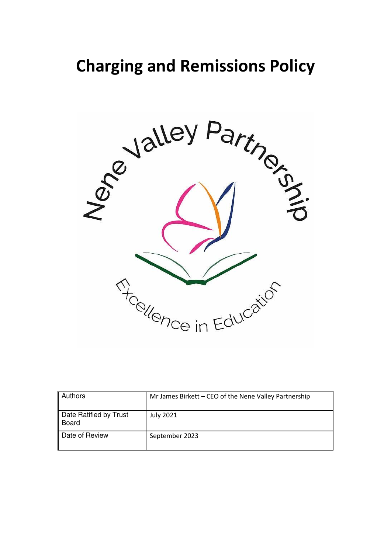# **Charging and Remissions Policy**



| <b>Authors</b>                  | Mr James Birkett - CEO of the Nene Valley Partnership |
|---------------------------------|-------------------------------------------------------|
| Date Ratified by Trust<br>Board | <b>July 2021</b>                                      |
| Date of Review                  | September 2023                                        |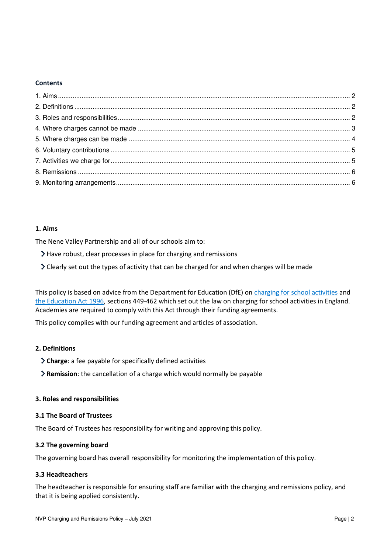#### **Contents**

# <span id="page-1-0"></span>**1. Aims**

The Nene Valley Partnership and all of our schools aim to:

- Have robust, clear processes in place for charging and remissions
- Clearly set out the types of activity that can be charged for and when charges will be made

This policy is based on advice from the Department for Education (DfE) o[n charging for school activities](https://www.gov.uk/government/publications/charging-for-school-activities) and [the Education Act 1996,](http://www.legislation.gov.uk/ukpga/1996/56/part/VI/chapter/III) sections 449-462 which set out the law on charging for school activities in England. Academies are required to comply with this Act through their funding agreements.

This policy complies with our funding agreement and articles of association.

## <span id="page-1-1"></span>**2. Definitions**

- **Charge**: a fee payable for specifically defined activities
- **Remission**: the cancellation of a charge which would normally be payable

## <span id="page-1-2"></span>**3. Roles and responsibilities**

## **3.1 The Board of Trustees**

The Board of Trustees has responsibility for writing and approving this policy.

### **3.2 The governing board**

The governing board has overall responsibility for monitoring the implementation of this policy.

### **3.3 Headteachers**

The headteacher is responsible for ensuring staff are familiar with the charging and remissions policy, and that it is being applied consistently.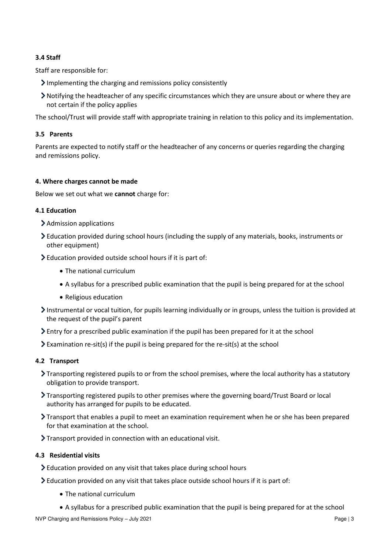# **3.4 Staff**

Staff are responsible for:

- Implementing the charging and remissions policy consistently
- Notifying the headteacher of any specific circumstances which they are unsure about or where they are not certain if the policy applies

The school/Trust will provide staff with appropriate training in relation to this policy and its implementation.

# **3.5 Parents**

Parents are expected to notify staff or the headteacher of any concerns or queries regarding the charging and remissions policy.

### <span id="page-2-0"></span>**4. Where charges cannot be made**

Below we set out what we **cannot** charge for:

### **4.1 Education**

- > Admission applications
- Education provided during school hours (including the supply of any materials, books, instruments or other equipment)
- Education provided outside school hours if it is part of:
	- The national curriculum
	- A syllabus for a prescribed public examination that the pupil is being prepared for at the school
	- Religious education
- Instrumental or vocal tuition, for pupils learning individually or in groups, unless the tuition is provided at the request of the pupil's parent
- $\sum$  Entry for a prescribed public examination if the pupil has been prepared for it at the school
- $\sum$  Examination re-sit(s) if the pupil is being prepared for the re-sit(s) at the school

### **4.2 Transport**

- Transporting registered pupils to or from the school premises, where the local authority has a statutory obligation to provide transport.
- Transporting registered pupils to other premises where the governing board/Trust Board or local authority has arranged for pupils to be educated.
- Transport that enables a pupil to meet an examination requirement when he or she has been prepared for that examination at the school.
- Transport provided in connection with an educational visit.

### **4.3 Residential visits**

- Education provided on any visit that takes place during school hours
- Education provided on any visit that takes place outside school hours if it is part of:
	- The national curriculum
	- A syllabus for a prescribed public examination that the pupil is being prepared for at the school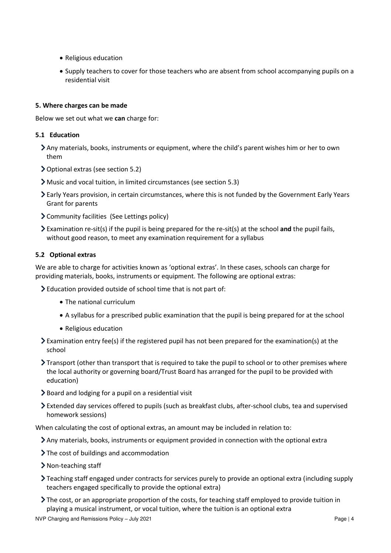- Religious education
- Supply teachers to cover for those teachers who are absent from school accompanying pupils on a residential visit

### <span id="page-3-0"></span>**5. Where charges can be made**

Below we set out what we **can** charge for:

## **5.1 Education**

- Any materials, books, instruments or equipment, where the child's parent wishes him or her to own them
- Optional extras (see section 5.2)
- Music and vocal tuition, in limited circumstances (see section 5.3)
- Early Years provision, in certain circumstances, where this is not funded by the Government Early Years Grant for parents
- Community facilities (See Lettings policy)
- Examination re-sit(s) if the pupil is being prepared for the re-sit(s) at the school **and** the pupil fails, without good reason, to meet any examination requirement for a syllabus

# **5.2 Optional extras**

We are able to charge for activities known as 'optional extras'. In these cases, schools can charge for providing materials, books, instruments or equipment. The following are optional extras:

Education provided outside of school time that is not part of:

- The national curriculum
- A syllabus for a prescribed public examination that the pupil is being prepared for at the school
- Religious education
- Examination entry fee(s) if the registered pupil has not been prepared for the examination(s) at the school
- Transport (other than transport that is required to take the pupil to school or to other premises where the local authority or governing board/Trust Board has arranged for the pupil to be provided with education)
- Board and lodging for a pupil on a residential visit
- Extended day services offered to pupils (such as breakfast clubs, after-school clubs, tea and supervised homework sessions)

When calculating the cost of optional extras, an amount may be included in relation to:

- Any materials, books, instruments or equipment provided in connection with the optional extra
- The cost of buildings and accommodation
- > Non-teaching staff
- Teaching staff engaged under contracts for services purely to provide an optional extra (including supply teachers engaged specifically to provide the optional extra)
- The cost, or an appropriate proportion of the costs, for teaching staff employed to provide tuition in playing a musical instrument, or vocal tuition, where the tuition is an optional extra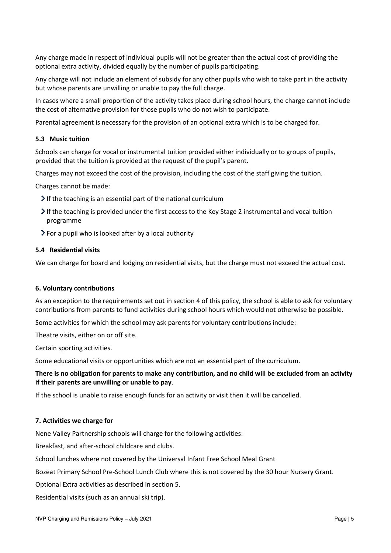Any charge made in respect of individual pupils will not be greater than the actual cost of providing the optional extra activity, divided equally by the number of pupils participating.

Any charge will not include an element of subsidy for any other pupils who wish to take part in the activity but whose parents are unwilling or unable to pay the full charge.

In cases where a small proportion of the activity takes place during school hours, the charge cannot include the cost of alternative provision for those pupils who do not wish to participate.

Parental agreement is necessary for the provision of an optional extra which is to be charged for.

#### **5.3 Music tuition**

Schools can charge for vocal or instrumental tuition provided either individually or to groups of pupils, provided that the tuition is provided at the request of the pupil's parent.

Charges may not exceed the cost of the provision, including the cost of the staff giving the tuition.

Charges cannot be made:

- $\blacktriangleright$  If the teaching is an essential part of the national curriculum
- If the teaching is provided under the first access to the Key Stage 2 instrumental and vocal tuition programme
- $\triangleright$  For a pupil who is looked after by a local authority

#### **5.4 Residential visits**

We can charge for board and lodging on residential visits, but the charge must not exceed the actual cost.

#### <span id="page-4-0"></span>**6. Voluntary contributions**

As an exception to the requirements set out in section 4 of this policy, the school is able to ask for voluntary contributions from parents to fund activities during school hours which would not otherwise be possible.

Some activities for which the school may ask parents for voluntary contributions include:

Theatre visits, either on or off site.

Certain sporting activities.

Some educational visits or opportunities which are not an essential part of the curriculum.

# **There is no obligation for parents to make any contribution, and no child will be excluded from an activity if their parents are unwilling or unable to pay**.

If the school is unable to raise enough funds for an activity or visit then it will be cancelled.

#### <span id="page-4-1"></span>**7. Activities we charge for**

Nene Valley Partnership schools will charge for the following activities:

Breakfast, and after-school childcare and clubs.

School lunches where not covered by the Universal Infant Free School Meal Grant

Bozeat Primary School Pre-School Lunch Club where this is not covered by the 30 hour Nursery Grant.

Optional Extra activities as described in section 5.

Residential visits (such as an annual ski trip).